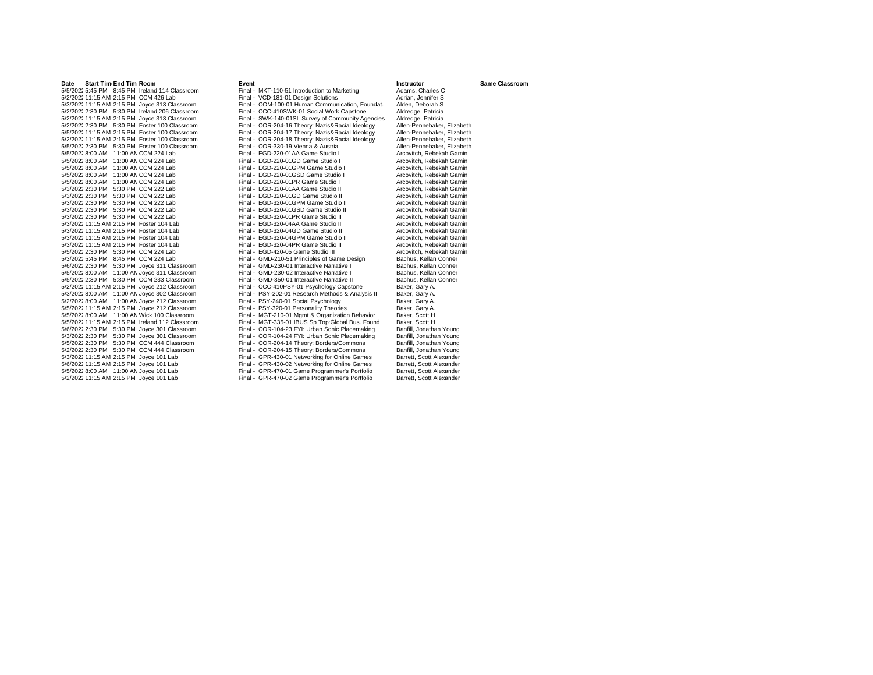| <b>Start Tim End Tim Room</b><br>Date           | Event                                             | <b>Instructor</b>           | <b>Same Classroom</b> |
|-------------------------------------------------|---------------------------------------------------|-----------------------------|-----------------------|
| 5/5/2022 5:45 PM 8:45 PM Ireland 114 Classroom  | Final - MKT-110-51 Introduction to Marketing      | Adams, Charles C            |                       |
| 5/2/2022 11:15 AM 2:15 PM CCM 426 Lab           | Final - VCD-181-01 Design Solutions               | Adrian, Jennifer S          |                       |
| 5/3/2022 11:15 AM 2:15 PM Joyce 313 Classroom   | Final - COM-100-01 Human Communication, Foundat,  | Alden, Deborah S            |                       |
| 5/2/2022 2:30 PM 5:30 PM Ireland 206 Classroom  | Final - CCC-410SWK-01 Social Work Capstone        | Aldredge, Patricia          |                       |
| 5/2/2022 11:15 AM 2:15 PM Joyce 313 Classroom   | Final - SWK-140-01SL Survey of Community Agencies | Aldredge, Patricia          |                       |
| 5/2/2022 2:30 PM 5:30 PM Foster 100 Classroom   | Final - COR-204-16 Theory: Nazis&Racial Ideology  | Allen-Pennebaker, Elizabeth |                       |
| 5/5/2022 11:15 AM 2:15 PM Foster 100 Classroom  | Final - COR-204-17 Theory: Nazis&Racial Ideology  | Allen-Pennebaker, Elizabeth |                       |
| 5/2/2022 11:15 AM 2:15 PM Foster 100 Classroom  | Final - COR-204-18 Theory: Nazis&Racial Ideology  | Allen-Pennebaker, Elizabeth |                       |
| 5/5/2022 2:30 PM 5:30 PM Foster 100 Classroom   | Final - COR-330-19 Vienna & Austria               | Allen-Pennebaker, Elizabeth |                       |
| 5/5/2022 8:00 AM 11:00 AN CCM 224 Lab           | Final - EGD-220-01AA Game Studio I                | Arcovitch, Rebekah Gamin    |                       |
| 5/5/2022 8:00 AM 11:00 AN CCM 224 Lab           | Final - EGD-220-01GD Game Studio I                | Arcovitch, Rebekah Gamin    |                       |
| 5/5/2022 8:00 AM 11:00 AN CCM 224 Lab           | Final - EGD-220-01GPM Game Studio I               | Arcovitch, Rebekah Gamin    |                       |
| 5/5/2022 8:00 AM 11:00 AN CCM 224 Lab           | Final - EGD-220-01GSD Game Studio I               | Arcovitch, Rebekah Gamin    |                       |
| 5/5/2022 8:00 AM 11:00 AN CCM 224 Lab           | Final - EGD-220-01PR Game Studio I                | Arcovitch, Rebekah Gamin    |                       |
| 5/3/2022 2:30 PM 5:30 PM CCM 222 Lab            | Final - EGD-320-01AA Game Studio II               | Arcovitch, Rebekah Gamin    |                       |
| 5/3/2022 2:30 PM 5:30 PM CCM 222 Lab            | Final - EGD-320-01GD Game Studio II               | Arcovitch, Rebekah Gamin    |                       |
| 5/3/2022 2:30 PM 5:30 PM CCM 222 Lab            | Final - EGD-320-01GPM Game Studio II              | Arcovitch, Rebekah Gamin    |                       |
| 5/3/2022 2:30 PM 5:30 PM CCM 222 Lab            | Final - EGD-320-01GSD Game Studio II              | Arcovitch, Rebekah Gamin    |                       |
| 5/3/2022 2:30 PM 5:30 PM CCM 222 Lab            | Final - EGD-320-01PR Game Studio II               | Arcovitch, Rebekah Gamin    |                       |
| 5/3/2022 11:15 AM 2:15 PM Foster 104 Lab        | Final - EGD-320-04AA Game Studio II               | Arcovitch, Rebekah Gamin    |                       |
| 5/3/2022 11:15 AM 2:15 PM Foster 104 Lab        | Final - EGD-320-04GD Game Studio II               | Arcovitch, Rebekah Gamin    |                       |
| 5/3/2022 11:15 AM 2:15 PM Foster 104 Lab        | Final - EGD-320-04GPM Game Studio II              | Arcovitch, Rebekah Gamin    |                       |
| 5/3/2022 11:15 AM 2:15 PM Foster 104 Lab        | Final - EGD-320-04PR Game Studio II               | Arcovitch, Rebekah Gamin    |                       |
| 5/5/2022 2:30 PM 5:30 PM CCM 224 Lab            | Final - EGD-420-05 Game Studio III                | Arcovitch, Rebekah Gamin    |                       |
| 5/3/2022 5:45 PM 8:45 PM CCM 224 Lab            | Final - GMD-210-51 Principles of Game Design      | Bachus, Kellan Conner       |                       |
| 5/6/2022 2:30 PM 5:30 PM Joyce 311 Classroom    | Final - GMD-230-01 Interactive Narrative I        | Bachus, Kellan Conner       |                       |
| 5/5/2022 8:00 AM 11:00 AN Joyce 311 Classroom   | Final - GMD-230-02 Interactive Narrative I        | Bachus, Kellan Conner       |                       |
| 5/5/2022 2:30 PM 5:30 PM CCM 233 Classroom      | Final - GMD-350-01 Interactive Narrative II       | Bachus, Kellan Conner       |                       |
| 5/2/2022 11:15 AM 2:15 PM Joyce 212 Classroom   | Final - CCC-410PSY-01 Psychology Capstone         | Baker, Gary A.              |                       |
| 5/3/2022 8:00 AM 11:00 AN Joyce 302 Classroom   | Final - PSY-202-01 Research Methods & Analysis II | Baker, Gary A.              |                       |
| 5/2/2022 8:00 AM 11:00 AN Joyce 212 Classroom   | Final - PSY-240-01 Social Psychology              | Baker, Gary A.              |                       |
| 5/5/2022 11:15 AM 2:15 PM Joyce 212 Classroom   | Final - PSY-320-01 Personality Theories           | Baker, Gary A.              |                       |
| 5/5/2022 8:00 AM 11:00 AN Wick 100 Classroom    | Final - MGT-210-01 Mgmt & Organization Behavior   | Baker, Scott H              |                       |
| 5/5/2022 11:15 AM 2:15 PM Ireland 112 Classroom | Final - MGT-335-01 IBUS Sp Top:Global Bus. Found  | Baker, Scott H              |                       |
| 5/6/2022 2:30 PM 5:30 PM Joyce 301 Classroom    | Final - COR-104-23 FYI: Urban Sonic Placemaking   | Banfill, Jonathan Young     |                       |
| 5/3/2022 2:30 PM 5:30 PM Joyce 301 Classroom    | Final - COR-104-24 FYI: Urban Sonic Placemaking   | Banfill, Jonathan Young     |                       |
| 5/5/2022 2:30 PM 5:30 PM CCM 444 Classroom      | Final - COR-204-14 Theory: Borders/Commons        | Banfill, Jonathan Young     |                       |
| 5/2/2022 2:30 PM 5:30 PM CCM 444 Classroom      | Final - COR-204-15 Theory: Borders/Commons        | Banfill, Jonathan Young     |                       |
| 5/3/2022 11:15 AM 2:15 PM Joyce 101 Lab         | Final - GPR-430-01 Networking for Online Games    | Barrett, Scott Alexander    |                       |
| 5/6/2022 11:15 AM 2:15 PM Joyce 101 Lab         | Final - GPR-430-02 Networking for Online Games    | Barrett, Scott Alexander    |                       |
| 5/5/2022 8:00 AM 11:00 AN Joyce 101 Lab         | Final - GPR-470-01 Game Programmer's Portfolio    | Barrett, Scott Alexander    |                       |
| 5/2/2022 11:15 AM 2:15 PM Joyce 101 Lab         | Final - GPR-470-02 Game Programmer's Portfolio    | Barrett, Scott Alexander    |                       |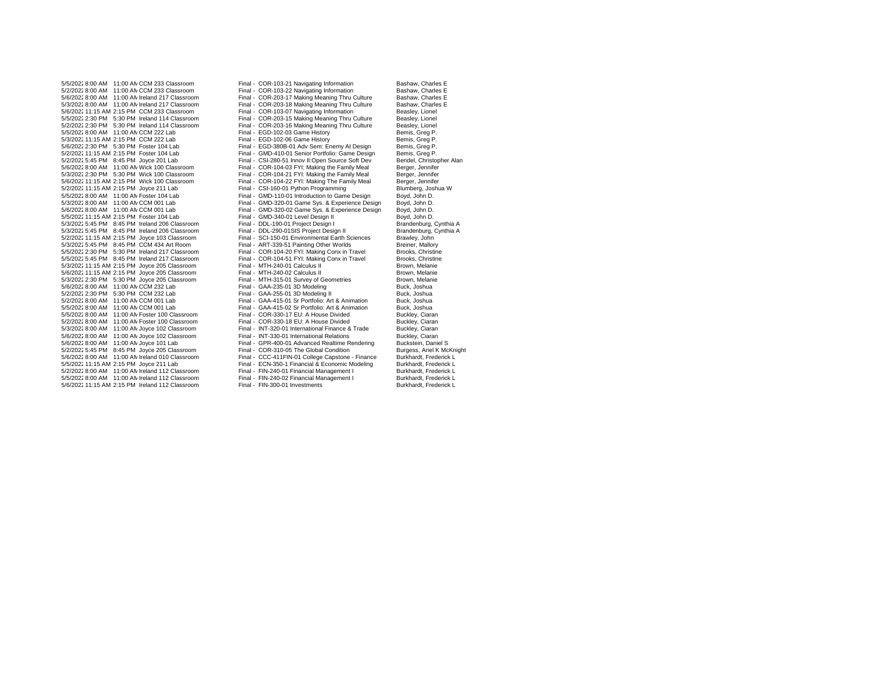$5/3/202255:45$  PM  $-8:45$  PM Ireland 206 Classroom 5/3/2022 8:00 AM 11:00 AN Joyce 102 Classroom Final - INT-320-01 International Finance & Trade Buckley, Classroom Final - INT-330-01 International Relations 5/6/2022 11:15 AM 2:15 PM Ireland 112 Classroom

5/5/2022 8:00 AM 11:00 AN CCM 233 Classroom Final - COR-103-21 Navigating Information Bashaw, Charles E<br>5/2/2022 8:00 AM 11:00 AN CCM 233 Classroom Final - COR-103-22 Navigating Information Bashaw, Charles E 5/2/2022 8:00 AM 11:00 AN CCM 233 Classroom Final - COR-103-22 Navigating Information Bashaw, Charles E<br>5/6/2022 8:00 AM 11:00 AN Ireland 217 Classroom Final - COR-203-17 Making Meaning Thru Culture Bashaw, Charles E 5/6/20228:00 AM 11:00 AMIreland 217 Classroom Final - COR-203-17 Making Meaning Thru Culture Bashaw, Charles E 5/3/2022 8:00 AM 11:00 AM reland 217 Classroom Final - COR-203-18 Making Meaning Thru Culture Bashaw, Charles Essay, Charles Essay, Charles Essay, Charles Essay, Charles Essay, Charles Essay, Charles Essay, Charles Essay, Final - COR-103-07 Navigating Information 5/5/20222:30 PM 5:30 PM Ireland 114 Classroom Final - COR-203-15 Making Meaning Thru Culture Beasley, Lionel Final - COR-203-16 Making Meaning Thru Culture<br>Final - EGD-102-03 Game History 5/5/2022 8:00 AM 11:00 AN CCM 222 Lab Final - EGD-102-03 Game History Channel Bemis, Greg P.<br>5/3/2022 11:15 AM 2:15 PM CCM 222 Lab Final - EGD-102-06 Game History Bemis, Greg P. 5/3/202211:15 AM 2:15 PM CCM 222 Lab Final - EGD-102-06 Game History Bemis, Greg P. 5/6/20222:30 PM 5:30 PM Foster 104 Lab Final - EGD-380B-01 Adv Sem: Enemy AI Design Bemis, Greg P. 5/2/202211:15 AM 2:15 PM Foster 104 Lab Final - GMD-410-01 Senior Portfolio: Game Design Bemis, Greg P. 5/2/2022 5:45 PM 8:45 PM Joyce 201 Lab Final - CSI-280-51 Innov II:Open Source Soft Dev Bendel, Christopher Alan<br>Final - COR-104-03 EVI: Making the Eamily Meal Berger Jennifer Final - COR-104-03 FYI: Making the Family Meal 5/3/20222:30 PM 5:30 PM Wick 100 Classroom Final - COR-104-21 FYI: Making the Family Meal Berger, Jennifer Final - COR-104-22 FYI: Making The Family Meal Berger, Jennifer<br>
Final - CSI-160-01 Python Programming Blumberg, Joshua W 5/2/2022 11:15 AM 2:15 PM Joyce 211 Lab Final - CSI-160-01 Python Programming Blumberg, Joshua Blumberg, Joshua H<br>5/5/2022 8:00 AM 11:00 AM Foster 104 Lab Final - GMD-110-01 Introduction to Game Design Boyd, John D. 5/5/20228:00 AM 11:00 AMFoster 104 Lab Final - GMD-110-01 Introduction to Game Design Boyd, John D. 5/3/20228:00 AM 11:00 AMCCM 001 Lab Final - GMD-320-01 Game Sys. & Experience Design Boyd, John D. Final - GMD-320-02 Game Sys. & Experience Design Boyd, John D.<br>5.100 Final - GMD-340-01 Level Design II Boyd, John D. 5/5/202211:15 AM 2:15 PM Foster 104 Lab Final - GMD-340-01 Level Design II Boyd, John D. 5/3/20225:45 PM 8:45 PM Ireland 206 Classroom Final - DDL-290-01SIS Project Design II Brandenburg, Cynthia A 5/2/202211:15 AM 2:15 PM Joyce 103 Classroom Final - SCI-150-01 Environmental Earth Sciences Brawley, John 5/3/2022 5:45 PM 8:45 PM CCM 434 Art Room Final - ART-339-51 Painting Other Worlds Breiner, Mallory<br>5/5/2022 2:30 PM 5:30 PM Ireland 217 Classroom Final - COR-104-20 FYI: Making Conx in Travel Brooks, Christine 5/5/20222:30 PM 5:30 PM Ireland 217 Classroom Final - COR-104-20 FYI: Making Conx in Travel Brooks, Christine 5/5/20225:45 PM 8:45 PM Ireland 217 Classroom Final - COR-104-51 FYI: Making Conx in Travel Brooks, Christine 5/3/202211:15 AM 2:15 PM Joyce 205 Classroom Final - MTH-240-01 Calculus II Brown, Melanie 5/6/202211:15 AM 2:15 PM Joyce 205 Classroom Final - MTH-240-02 Calculus II Brown, Melanie Final - MTH-315-01 Survey of Geometries 5/6/2022 8:00 AM 11:00 AM CCM 232 Lab Final - GAA-235-01 3D Modeling Buck, Joshua Buck, Joshua Buck, Joshua Final - GAA-255-01 3D Modeling II Buck, Joshua Buck, Joshua Buck, Joshua Buck, Joshua Buck, Joshua Buck, Joshua Bu 5/2/20222:30 PM 5:30 PM CCM 232 Lab Final - GAA-255-01 3D Modeling II Buck, Joshua 5/2/20228:00 AM 11:00 AMCCM 001 Lab Final - GAA-415-01 Sr Portfolio: Art & Animation Buck, Joshua Final - GAA-415-02 Sr Portfolio: Art & Animation Buck, Joshua<br>5.00 Final - COR-330-17 EU: A House Divided Buckley, Claran 5/5/20228:00 AM 11:00 AMFoster 100 Classroom Final - COR-330-17 EU: A House Divided Buckley, Ciaran 5/2/2022 8:00 AM 11:00 AM Foster 100 Classroom Final - COR-330-18 EU: A House Divided Buckley, Ciaran<br>5/3/2022 8:00 AM 11:00 AM Joyce 102 Classroom Final - INT-320-01 International Finance & Trade Buckley, Ciaran 5/6/20228:00 AM 11:00 AMJoyce 102 Classroom Final - INT-330-01 International Relations Buckley, Ciaran 5/6/2022 8:00 AM 11:00 AM Joyce 101 Lab Final - GPR-400-01 Advanced Realtime Rendering Buckstein, Daniel S 5/2/20225:45 PM 8:45 PM Joyce 205 Classroom Final - COR-310-05 The Global Condition Burgess, Ariel K McKnight 5/6/20228:00 AM 11:00 AMIreland 010 Classroom Final - CCC-411FIN-01 College Capstone - Finance Burkhardt, Frederick L Final - ECN-350-1 Financial & Economic Modeling Burkhardt, Frederick L<br>
Final - FIN-240-01 Financial Management I Burkhardt, Frederick L 5/2/20228:00 AM 11:00 AMIreland 112 Classroom Final - FIN-240-01 Financial Management I Burkhardt, Frederick L 5/5/20228:00 AM 11:00 AMIreland 112 Classroom Final - FIN-240-02 Financial Management I Burkhardt, Frederick L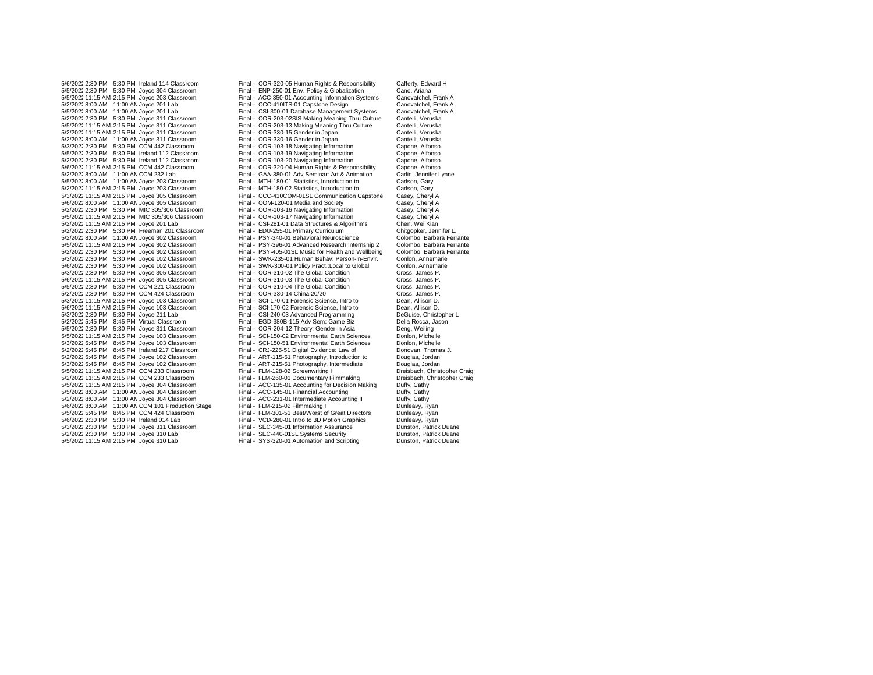5/6/2022 11:15 AM 2:15 PM Joyce 305 Classroom 5/2/2022 8:00 AM 11:00 AN Joyce 304 Classroom Final - ACC-231-01 Intermediate <br>5/6/2022 8:00 AM 11:00 AN CCM 101 Production Stage Final - FLM-215-02 Filmmaking I

5/6/2022 2:30 PM 5:30 PM Ireland 114 Classroom Final - COR-320-05 Human Rights & Responsibility Cafferty, Edward H<br>5/5/2022 2:30 PM 5:30 PM Jovce 304 Classroom Final - ENP-250-01 Env. Policy & Globalization Cano. Ariana 5/5/20222:30 PM 5:30 PM Joyce 304 Classroom Final - ENP-250-01 Env. Policy & Globalization Cano, Ariana Final - ACC-350-01 Accounting Information Systems Canovatchel, Frank A<br>Final - CCC-410ITS-01 Canstone Design Canovatchel, Frank A 5/2/2022 8:00 AM 11:00 AN Joyce 201 Lab Final - CCC-410ITS-01 Capstone Design Canovatchel, Frank A<br>5/5/2022 8:00 AM 11:00 AN Joyce 201 Lab Final - CSI-300-01 Database Management Systems Canovatchel, Frank A Final - CSI-300-01 Database Management Systems 5/2/20222:30 PM 5:30 PM Joyce 311 Classroom Final - COR-203-02SIS Making Meaning Thru Culture Cantelli, Veruska Final - COR-203-13 Making Meaning Thru Culture 5/2/202211:15 AM 2:15 PM Joyce 311 Classroom Final - COR-330-15 Gender in Japan Cantelli, Veruska 5/2/2022 8:00 AM 11:00 AM Joyce 311 Classroom Final - COR-330-16 Gender in Japan Cantelli, Veruska<br>5/3/2022 2:30 PM 5:30 PM CCM 442 Classroom Final - COR-103-18 Navigating Information Capone. Alfonso 5/3/20222:30 PM 5:30 PM CCM 442 Classroom Final - COR-103-18 Navigating Information Capone, Alfonso Final - COR-103-19 Navigating Information 5/2/20222:30 PM 5:30 PM Ireland 112 Classroom Final - COR-103-20 Navigating Information Capone, Alfonso Final - COR-320-04 Human Rights & Responsibility 5/2/2022 8:00 AM 11:00 AN CCM 232 Lab Final - GAA-380-01 Adv Seminar: Art & Animation Carlin, Jennifer Lynne<br>5/5/2022 8:00 AM 11:00 AN Jovce 203 Classroom Final - MTH-180-01 Statistics. Introduction to Carlson. Garv 5/5/2022 8:00 AM 11:00 AN Joyce 203 Classroom Final - MTH-180-01 Statistics, Introduction to Carlson, Gary<br>5/2/2022 11:15 AM 2:15 PM Joyce 203 Classroom Final - MTH-180-02 Statistics, Introduction to Carlson, Gary 5/2/202211:15 AM 2:15 PM Joyce 203 Classroom Final - MTH-180-02 Statistics, Introduction to Carlson, Gary 5/3/202211:15 AM 2:15 PM Joyce 305 Classroom Final - CCC-410COM-01SL Communication Capstone Casey, Cheryl A 5/6/2022 8:00 AM 11:00 AN Joyce 305 Classroom Final - COM-120-01 Media and Society Casey, Cheryl A<br>5/2/2022 2:30 PM 5:30 PM MIC 305/306 Classroom Final - COR-103-16 Navigating Information Casey, Cheryl A 5/2/20222:30 PM 5:30 PM MIC 305/306 Classroom Final - COR-103-16 Navigating Information Casey, Cheryl A 5/5/202211:15 AM 2:15 PM MIC 305/306 Classroom Final - COR-103-17 Navigating Information Casey, Cheryl A Final - CSI-281-01 Data Structures & Algorithms 5/2/20222:30 PM 5:30 PM Freeman 201 Classroom Final - EDU-255-01 Primary Curriculum Chitgopker, Jennifer L. 5/2/20228:00 AM 11:00 AMJoyce 302 Classroom Final - PSY-340-01 Behavioral Neuroscience Colombo, Barbara Ferrante 5/5/202211:15 AM 2:15 PM Joyce 302 Classroom Final - PSY-396-01 Advanced Research Internship 2 Colombo, Barbara Ferrante 5/2/2022 2:30 PM 5:30 PM Joyce 302 Classroom Final - PSY-405-01SL Music for Health and Wellbeing Colombo, Barbara Ferrante Colombo, Barbara Ferrante Colombo, Barbara Ferrante Colombo, Annemarie Colombo, Annemarie Final - SWK-235-01 Human Behav: Person-in-Envir. Conlon, Annemarie<br>Final - SWK-300-01 Policy Pract.: Local to Global Conlon, Annemarie 5/6/2022 2:30 PM 5:30 PM Joyce 102 Classroom Final - SWK-300-01 Policy Pract.:Local to Global Conlon, Annemarie<br>5/3/2022 2:30 PM 5:30 PM Joyce 305 Classroom Final - COR-310-02 The Global Condition Cross. James P. 5/3/20222:30 PM 5:30 PM Joyce 305 Classroom Final - COR-310-02 The Global Condition Cross, James P. 5/5/20222:30 PM 5:30 PM CCM 221 Classroom Final - COR-310-04 The Global Condition Cross, James P. 5/2/20222:30 PM 5:30 PM CCM 424 Classroom Final - COR-330-14 China 20/20 Cross, James P. 5/3/202211:15 AM 2:15 PM Joyce 103 Classroom Final - SCI-170-01 Forensic Science, Intro to Dean, Allison D. 5/6/202211:15 AM 2:15 PM Joyce 103 Classroom Final - SCI-170-02 Forensic Science, Intro to Dean, Allison D. 5/3/2022 2:30 PM 5:30 PM Joyce 211 Lab Final - CSI-240-03 Advanced Programming DeGuise, Christopher Christopher L<br>Final - ECD-380B-115 Adv Sem: Game Biz Della Rocca, Jason Della Rocca, Jason 5/2/20225:45 PM 8:45 PM Virtual Classroom Final - EGD-380B-115 Adv Sem: Game Biz Della Rocca, Jason Final - COR-204-12 Theory: Gender in Asia 5/5/202211:15 AM 2:15 PM Joyce 103 Classroom Final - SCI-150-02 Environmental Earth Sciences Donlon, Michelle 5/3/20225:45 PM 8:45 PM Joyce 103 Classroom Final - SCI-150-51 Environmental Earth Sciences Donlon, Michelle 5/2/20225:45 PM 8:45 PM Ireland 217 Classroom Final - CRJ-225-51 Digital Evidence: Law of Donovan, Thomas J. Final - ART-115-51 Photography, Introduction to Douglas, Jordan<br>
Final - ART-215-51 Photography, Intermediate Douglas, Jordan 5/3/20225:45 PM 8:45 PM Joyce 102 Classroom Final - ART-215-51 Photography, Intermediate Douglas, Jordan 5/5/202211:15 AM 2:15 PM CCM 233 Classroom Final - FLM-128-02 Screenwriting I Dreisbach, Christopher Craig 5/2/2022 11:15 AM 2:15 PM CCM 233 Classroom Final - FLM-260-01 Documentary Filmmaking Dreisbach, Christopher C<br>5/5/2022 11:15 AM 2:15 PM Joyce 304 Classroom Final - ACC-135-01 Accounting for Decision Making Duffy, Cathy Final - ACC-135-01 Accounting for Decision Making Duffy, Cathy<br>Final - ACC-145-01 Financial Accounting Duffy, Cathy 5/5/2022 8:00 AM 11:00 AN Joyce 304 Classroom Final - ACC-145-01 Financial Accounting Duffy, Cathy<br>5/3/2022 8:00 AM 11:00 AN Joyce 304 Classroom Final - ACC-145-01 Financial Accounting Duffy, Cathy 5/6/2022 8:00 AM 11:00 AN CCM 101 Production Stage Final - FLM-215-02 Filmmaking I Cunleavy, Ryan<br>5/5/2022 5:45 PM 8:45 PM CCM 424 Classroom Final - FLM-301-51 Best/Worst of Great Directors Dunleavy, Ryan 5/5/2022 5:45 PM 8:45 PM CCM 424 Classroom Final - FLM-301-51 Best/Worst of Great Directors Dunleavy, Ryan<br>5/6/2022 2:30 PM 5:30 PM Ireland 014 Lab Final - VCD-280-01 Intro to 3D Motion Graphics Dunleavy, Ryan Final - VCD-280-01 Intro to 3D Motion Graphics Dunleavy, Ryan<br>
Final - SEC-345-01 Information Assurance Dunston, Patrick Duane 5/3/20222:30 PM 5:30 PM Joyce 311 Classroom Final - SEC-345-01 Information Assurance Dunston, Patrick Duane 5/2/20222:30 PM 5:30 PM Joyce 310 Lab Final - SEC-440-01SL Systems Security Dunston, Patrick Duane Final - SYS-320-01 Automation and Scripting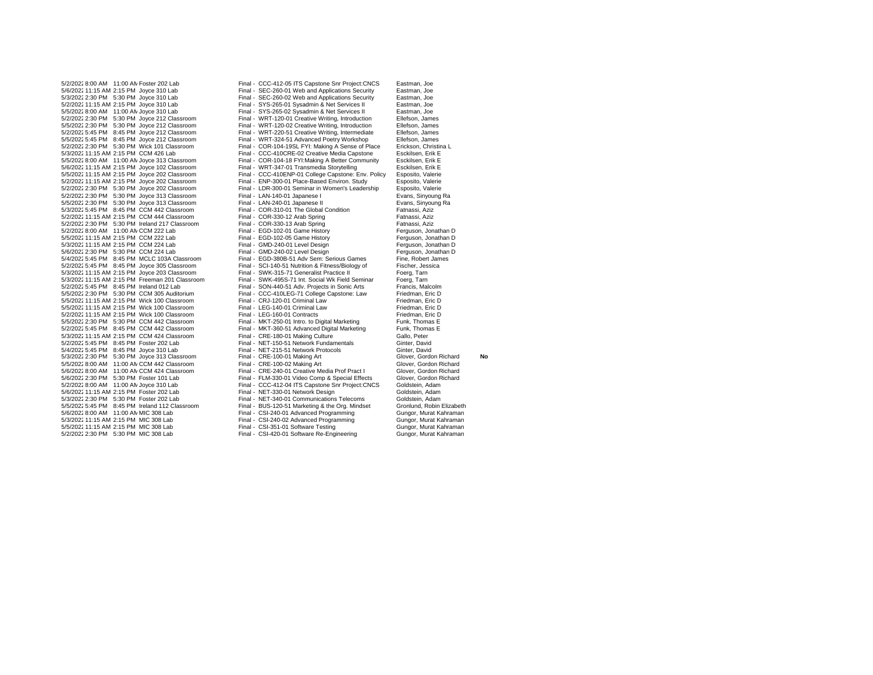5/6/2022 11:15 AM 2:15 PM Joyce 102 Classroom 5/2/2022:2:30 PM 5:30 PM Ireland 217 Classroom 5/2/2022 5:45 PM 8:45 PM Joyce 305 Classroom Final - SCI-140-51 Nutrition & Fitness/Biology of Fitness/Biology<br>5/3/2022 11:15 AM 2:15 PM Joyce 203 Classroom Final - SWK-315-71 Generalist Practice II 5/3/2022 11:15 AM 2:15 PM Freeman 201 Classroom 5/2/2022 5:45 PM 8:45 PM CCM 442 Classroom 5/6/2022 11:15 AM 2:15 PM Foster 202 Lab Final - NET-330-01 Network Design

5/2/2022 8:00 AM 11:00 AN Foster 202 Lab Final - CCC-412-05 ITS Capstone Snr Project:CNCS Eastman, Joe<br>5/6/2022 11:15 AM 2:15 PM Jovce 310 Lab Final - SEC-260-01 Web and Apolications Security Eastman. Joe 5/6/202211:15 AM 2:15 PM Joyce 310 Lab Final - SEC-260-01 Web and Applications Security Eastman, Joe 5/3/20222:30 PM 5:30 PM Joyce 310 Lab Final - SEC-260-02 Web and Applications Security Eastman, Joe 5/2/202211:15 AM 2:15 PM Joyce 310 Lab Final - SYS-265-01 Sysadmin & Net Services II Eastman, Joe Final - SYS-265-02 Sysadmin & Net Services II 5/2/20222:30 PM 5:30 PM Joyce 212 Classroom Final - WRT-120-01 Creative Writing, Introduction Ellefson, James Final - WRT-120-02 Creative Writing, Introduction Ellefson, James<br>Final - WRT-220-51 Creative Writing, Intermediate Ellefson, James 5/2/20225:45 PM 8:45 PM Joyce 212 Classroom Final - WRT-220-51 Creative Writing, Intermediate Ellefson, James 5/5/20225:45 PM 8:45 PM Joyce 212 Classroom Final - WRT-324-51 Advanced Poetry Workshop Ellefson, James 5/2/2022 2:30 PM 5:30 PM Wick 101 Classroom Final - COR-104-19SL FYI: Making A Sense of Place Erickson, Christin<br>5/3/2022 11:15 AM 2:15 PM CCM 426 Lab Final - CCC-410CRE-02 Creative Media Capstone Esckilsen. Erik E Final - CCC-410CRE-02 Creative Media Capstone<br>Final - COR-104-18 FYI:Making A Better Community 5/5/20228:00 AM 11:00 AMJoyce 313 Classroom Final - COR-104-18 FYI:Making A Better Community Esckilsen, Erik E 5/5/202211:15 AM 2:15 PM Joyce 202 Classroom Final - CCC-410ENP-01 College Capstone: Env. Policy Esposito, Valerie 5/2/202211:15 AM 2:15 PM Joyce 202 Classroom Final - ENP-300-01 Place-Based Environ. Study Esposito, Valerie 5/2/20222:30 PM 5:30 PM Joyce 202 Classroom Final - LDR-300-01 Seminar in Women's Leadership Esposito, Valerie 5/2/20222:30 PM 5:30 PM Joyce 313 Classroom Final - LAN-140-01 Japanese I Evans, Sinyoung Ra 5/5/2022 2:30 PM 5:30 PM Joyce 313 Classroom Final - LAN-240-01 Japanese II Frans, Sinyoung Frances Classroom<br>5/3/2022 5:45 PM 8:45 PM CCM 442 Classroom Final - COR-310-01 The Global Condition Fatnassi, Aziz 5/3/20225:45 PM 8:45 PM CCM 442 Classroom Final - COR-310-01 The Global Condition Fatnassi, Aziz 5/2/2022 11:15 AM 2:15 PM CCM 444 Classroom Final - COR-330-12 Arab Spring Fatnassi, Aziz<br>5/2/2022 2:30 PM 5:30 PM Ireland 217 Classroom Final - COR-330-13 Arab Spring Fatnassi, Aziz 5/2/20228:00 AM 11:00 AMCCM 222 Lab Final - EGD-102-01 Game History Ferguson, Jonathan D 5/5/202211:15 AM 2:15 PM CCM 222 Lab Final - EGD-102-05 Game History Ferguson, Jonathan D 5/3/202211:15 AM 2:15 PM CCM 224 Lab Final - GMD-240-01 Level Design Ferguson, Jonathan D 5/6/2022 2:30 PM 5:30 PM CCM 224 Lab Final - GMD-240-02 Level Design Ferguson, Jonathan Forguson, Jonathan Final - GMD-240-02 Level Design Ferguson, Jonathan 5/4/2022 5:45 PM 8:45 PM MCLC 103A Classroom Final - EGD-380B-51 5/4/2022 5:45 PM 8:45 PM MCLC 103A Classroom Final - EGD-380B-51 Adv Sem: Serious Games Fine, Robert Jam<br>5/2/2022 5:45 PM 8:45 PM Joyce 305 Classroom Final - SCI-140-51 Nutrition & Fitness/Biology of Fischer, Jessica 5/3/2022 11:15 AM 2:15 PM Joyce 203 Classroom Final - SWK-315-71 Generalist Practice II Foerg, Tarn Foerg, Tam<br>5/3/2022 11:15 AM 2:15 PM Freeman 201 Classroom Final - SWK-495S-71 Int. Social Wk Field Seminar Foerg. Tarn 5/2/2022 5:45 PM 8:45 PM Ireland 012 Lab Final - SON-440-51 Adv. Projects in Sonic Arts Francis, Malcolm<br>5/5/2022 2:30 PM 5:30 PM CCM 305 Auditorium Final - CCC-410LEG-71 College Capstone: Law Friedman, Eric D Final - CCC-410LEG-71 College Capstone: Law Friedman, Eric D<br>5. Final - CRJ-120-01 Criminal Law Friedman, Eric D 5/5/202211:15 AM 2:15 PM Wick 100 Classroom Final - CRJ-120-01 Criminal Law Friedman, Eric D 5/5/202211:15 AM 2:15 PM Wick 100 Classroom Final - LEG-140-01 Criminal Law Friedman, Eric D 5/2/2022 11:15 AM 2:15 PM Wick 100 Classroom Final - LEG-160-01 Contracts Friedman, Eric D<br>5/5/2022 2:30 PM 5:30 PM CCM 442 Classroom Final - MKT-250-01 Intro. to Digital Marketing Funk, Thomas E 5/5/2022 2:30 PM 5:30 PM CCM 442 Classroom Final - MKT-250-01 Intro. to Digital Marketing Funk, Thomas E<br>5/2/2022 5:45 PM 8:45 PM CCM 442 Classroom Final - MKT-360-51 Advanced Digital Marketing Funk, Thomas E 5/3/202211:15 AM 2:15 PM CCM 424 Classroom Final - CRE-180-01 Making Culture Gallo, Peter 5/2/20225:45 PM 8:45 PM Foster 202 Lab Final - NET-150-51 Network Fundamentals Ginter, David 5/4/2022 5:45 PM 8:45 PM Joyce 310 Lab Final - NET-215-51 Network Protocols<br>5/3/2022 2:30 PM 5:30 PM Joyce 313 Classroom Final - CRE-100-01 Making Art Glover. Gordon Richard 5/3/20222:30 PM 5:30 PM Joyce 313 Classroom Final - CRE-100-01 Making Art Glover, Gordon Richard **No** 5/5/2022 8:00 AM 11:00 AN CCM 442 Classroom Final - CRE-100-02 Making Art Glover, Gordon Richard<br>5/6/2022 8:00 AM 11:00 AN CCM 424 Classroom Final - CRE-240-01 Creative Media Prof Pract I Glover, Gordon Richard 5/6/20228:00 AM 11:00 AMCCM 424 Classroom Final - CRE-240-01 Creative Media Prof Pract I Glover, Gordon Richard Final - FLM-330-01 Video Comp & Special Effects Glover, Gordon R<br>Final - CCC-412-04 ITS Capstone Snr Project:CNCS Goldstein, Adam 5/2/2022 8:00 AM 11:00 AM Joyce 310 Lab Final - CCC-412-04 ITS Capstone Snr Project:CNCS Goldstein, Adam<br>5/6/2022 11:15 AM 2:15 PM Foster 202 Lab Final - NET-330-01 Network Design Coldstein, Adam 5/3/20222:30 PM 5:30 PM Foster 202 Lab Final - NET-340-01 Communications Telecoms Goldstein, Adam 5/5/20225:45 PM 8:45 PM Ireland 112 Classroom Final - BUS-120-51 Marketing & the Org. Mindset Gronlund, Robin Elizabeth 5/6/2022 8:00 AM 11:00 AN MIC 308 Lab Final - CSI-240-01 Advanced Programming Gungor, Murat Kahraman<br>15/3/2022 11:15 AM 2:15 PM MIC 308 Lab Final - CSI-240-02 Advanced Programming Gungor, Murat Kahraman Final - CSI-240-02 Advanced Programming Gungor, Murat Kahraman<br>5-15 Final - CSI-351-01 Software Testing Gungor, Murat Kahraman 5/5/2022 11:15 AM 2:15 PM MIC 308 Lab Final - CSI-351-01 Software Testing Gungor, Murat Kahraman<br>5/2/2022 2:30 PM 5:30 PM MIC 308 Lab Final - CSI-420-01 Software Re-Engineering Gungor, Murat Kahraman Final - CSI-420-01 Software Re-Engineering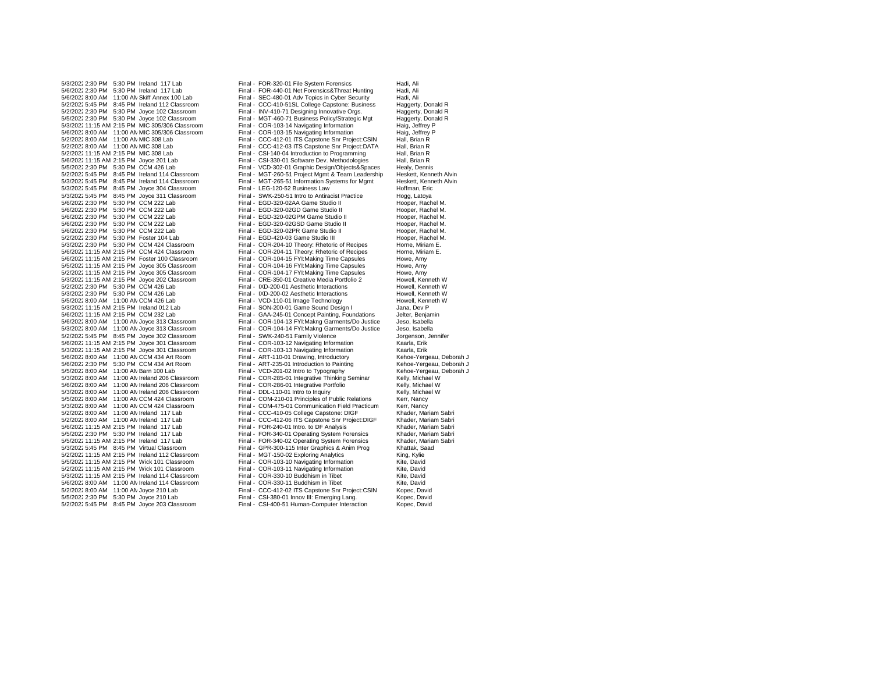5/2/2022 2:30 PM 5:30 PM Joyce 102 Classroom 5/6/2022 2:30 PM 5:30 PM CCM 222 Lab 5/5/2022 11:15 AM 2:15 PM Joyce 305 Classroom Final - COR-104-16 FYI: Making Time Capsules Follow Final - COR-<br>5/2/2022 11:15 AM 2:15 PM Joyce 305 Classroom Final - COR-104-17 FYI: Making Time Capsules 5/3/2022 11:15 AM 2:15 PM Joyce 202 Classroom 5/5/20228:00 AM 11:00 AMCCM 426 Lab Final - VCD-110-01 Image Technology Howell, Kenneth W 5/2/2022 5:45 PM 8:45 PM Joyce 203 Classroom

5/3/2022 2:30 PM 5:30 PM Ireland 117 Lab Final - FOR-320-01 File System Forensics Formation Hadi, Ali<br>5/6/2022 2:30 PM 5:30 PM Ireland 117 Lab Final - FOR-440-01 Net Forensics& Threat Hunting Hadi. Ali 5/6/2022 2:30 PM 5:30 PM Ireland 117 Lab Funal - FOR-440-01 Net Forensics&Threat Hunting Hadi, Ali<br>5/6/2022 8:00 AM 11:00 AN Skiff Annex 100 Lab Final - SEC-480-01 Adv Topics in Cyber Security Hadi, Ali 5/6/20228:00 AM 11:00 AMSkiff Annex 100 Lab Final - SEC-480-01 Adv Topics in Cyber Security Hadi, Ali Final - CCC-410-51SL College Capstone: Business Haggerty, Donald R<br>
Final - INV-410-71 Designing Innovative Orgs. Haggerty, Donald R 5/5/20222:30 PM 5:30 PM Joyce 102 Classroom Final - MGT-460-71 Business Policy/Strategic Mgt Haggerty, Donald R 5/3/202211:15 AM 2:15 PM MIC 305/306 Classroom Final - COR-103-14 Navigating Information Haig, Jeffrey P 5/6/2022 8:00 AM 11:00 AM MIC 305/306 Classroom Final - COR-103-15 Navigating Information Haig, Jeffrey Haig, Jeffrey Propertion Francisco CSIN Hall, Brian R<br>Final - CCC-412-01 ITS Capstone Snr Project: CSIN Hall, Brian R 5/2/2022 8:00 AM 11:00 AM MIC 308 Lab Final - CCC-412-01 ITS Capstone Snr Project:CSIN Hall, Brian R<br>5/2/2022 8:00 AM 11:00 AM MIC 308 Lab Final - CCC-412-03 ITS Capstone Snr Project:DATA Hall, Brian R 5/2/2022 8:00 AM 11:00 AMMIC 308 Lab Final - CCC-412-03 ITS Capstone Snr Project:DATA Hall, Brian R<br>5/2/2022 11:15 AM 2:15 PM MIC 308 Lab Final - CSI-140-04 Introduction to Programming Hall. Brian R Final - CSI-140-04 Introduction to Programming 5/6/202211:15 AM 2:15 PM Joyce 201 Lab Final - CSI-330-01 Software Dev. Methodologies Hall, Brian R Final - VCD-302-01 Graphic Design/Objects&Spaces 5/2/20225:45 PM 8:45 PM Ireland 114 Classroom Final - MGT-260-51 Project Mgmt & Team Leadership Heskett, Kenneth Alvin Final - MGT-265-51 Information Systems for Mgmt Heskett, Kenneth Heskett, Kenneth Alvin Heskett, Kenneth Alvin 5/3/2022 5:45 PM 8:45 PM Joyce 304 Classroom Final - LEG-120-52 Business Law Text Classroom Hoffman, Eric<br>5/3/2022 5:45 PM 8:45 PM Joyce 311 Classroom Final - SWK-250-51 Intro to Antiracist Practice Hogg, Latoya 5/3/20225:45 PM 8:45 PM Joyce 311 Classroom Final - SWK-250-51 Intro to Antiracist Practice Hogg, Latoya 5/6/20222:30 PM 5:30 PM CCM 222 Lab Final - EGD-320-02AA Game Studio II Hooper, Rachel M. 5/6/20222:30 PM 5:30 PM CCM 222 Lab Final - EGD-320-02GD Game Studio II Hooper, Rachel M. Final - EGD-320-02GPM Game Studio II Hooper, Rachel M.<br>
Final - EGD-320-02GPM Game Studio II Hooper, Rachel M.<br>
Hooper, Rachel M. 5/6/20222:30 PM 5:30 PM CCM 222 Lab Final - EGD-320-02PR Game Studio II Hooper, Rachel M. 5/2/2022 2:30 PM 5:30 PM Foster 104 Lab Final - EGD-420-03 Game Studio III Hooper, Rachel N<br>5/3/2022 2:30 PM 5:30 PM CCM 424 Classroom Final - COR-204-10 Theory: Rhetoric of Recipes Horne. Miriam E. Final - COR-204-10 Theory: Rhetoric of Recipes Horne, Miriam E.<br>5. Final - COR-204-11 Theory: Rhetoric of Recipes Horne, Miriam E. 5/6/2022 11:15 AM 2:15 PM CCM 424 Classroom Final - COR-204-11 Theory: Rhetoric of Recipes Horne, Miriam E. Horne, Miriam E. France, Amy F. Theory: Rhetoric of Recipes Horne, Miriam E. France, Amy F. Theory: Rhetoric of Re 5/6/202211:15 AM 2:15 PM Foster 100 Classroom Final - COR-104-15 FYI:Making Time Capsules Howe, Amy 5/2/202211:15 AM 2:15 PM Joyce 305 Classroom Final - COR-104-17 FYI:Making Time Capsules Howe, Amy 5/2/2022 2:30 PM 5:30 PM CCM 426 Lab Final - IXD-200-01 Aesthetic Interactions Final Howell, Kenneth W<br>Final - IXD-200-01 Aesthetic Interactions Howell Kenneth W 5/3/20222:30 PM 5:30 PM CCM 426 Lab Final - IXD-200-02 Aesthetic Interactions Howell, Kenneth W 5/3/2022 11:15 AM 2:15 PM Ireland 012 Lab Final - SON-200-01 Game Sound Design I Jana, Dev P<br>Final - GAA-245-01 Communications Jelter, Benjamin Islam Communications Jelter, Benjamin 5/6/2022 11:15 AM 2:15 PM CCM 232 Lab Final - GAA-245-01 Concept Painting, Foundations Jelter, Benjam<br>5/6/2022 8:00 AM 11:00 AN Joyce 313 Classroom Final - COR-104-13 FYI:Makng Garments/Do Justice Jeso, Isabella 5/6/20228:00 AM 11:00 AMJoyce 313 Classroom Final - COR-104-13 FYI:Makng Garments/Do Justice Jeso, Isabella Final - COR-104-14 FYI:Makng Garments/Do Justice<br>Final - SWK-240-51 Family Violence 5/2/20225:45 PM 8:45 PM Joyce 302 Classroom Final - SWK-240-51 Family Violence Jorgenson, Jennifer 5/6/202211:15 AM 2:15 PM Joyce 301 Classroom Final - COR-103-12 Navigating Information Kaarla, Erik 5/3/2022 11:15 AM 2:15 PM Joyce 301 Classroom Final - COR-103-13 Navigating Information Kaarla, Erik<br>5/6/2022 8:00 AM 11:00 AN CCM 434 Art Room Final - ART-110-01 Drawing, Introductory Kehoe-Yergeau. Deborah J Final - ART-110-01 Drawing, Introductory ... Kehoe-Yergeau, Deborah J<br>
Final - ART-235-01 Introduction to Painting ... Kehoe-Yergeau, Deborah J 5/6/20222:30 PM 5:30 PM CCM 434 Art Room Final - ART-235-01 Introduction to Painting Kehoe-Yergeau, Deborah J Final - V.C.D-201-02 Intro to Typography (Final - VCD-201-02 Intro to Typography (Kehoe-Yergeau, Deborah Jab Final - COR-285-01 Integrative Thinking Seminar (Kelly, Michael W 5/3/20228:00 AM 11:00 AMIreland 206 Classroom Final - COR-285-01 Integrative Thinking Seminar Kelly, Michael W 5/6/20228:00 AM 11:00 AMIreland 206 Classroom Final - COR-286-01 Integrative Portfolio Kelly, Michael W 5/3/2022 8:00 AM 11:00 AM reland 206 Classroom Final - DDL-110-01 Intro to Inquiry Final - Final - DDL-110-01 Intro to Inquiry Final - Relations Relly, Michael West Relations Relations Relations Relations Relations Relatio Final - COM-210-01 Principles of Public Relations 5/3/2022 8:00 AM 11:00 AM CCM 424 Classroom Final - COM-475-01 Communication Field Practicum Kerr, Nancy<br>5/2/2022 8:00 AM 11:00 AM Ireland 117 Lab 5/2/20228:00 AM 11:00 AMIreland 117 Lab Final - CCC-410-05 College Capstone: DIGF Khader, Mariam Sabri Final - CCC-412-06 ITS Capstone Snr Project:DIGF Khader, Mariam Sabri<br>Final - FOR-240-01 Intro. to DF Analysis Khader, Mariam Sabri 5/6/2022 11:15 AM 2:15 PM Ireland 117 Lab Final - FOR-240-01 Intro. to DF Analysis Khader, Mariam Sabri<br>5/5/2022 2:30 PM 5:30 PM Ireland 117 Lab Final - FOR-340-01 Operating System Forensics Khader, Mariam Sabri 5/5/2022 2:30 PM 5:30 PM Ireland 117 Lab Final - FOR-340-01 Operating System Forensics Khader, Mariam Sabribut<br>1997 - Frances System Forensics Khader, Mariam Sabribution Sabribution Company System Forensics Khader, Mariam Final - FOR-340-02 Operating System Forensics Khader, Mariam - Khader, Mariam Sabridge System Forensics Khader, Mariam Sabridge System Forential Analysis Charles Sabridge System From Sabridge System Sabridge System Sabridg 5/3/2022 5:45 PM 8:45 PM Virtual Classroom Final - GPR-300-115 Inter Graphics & Anim Prog Khattak, Sa<br>5/2/2022 5:45 PM 8:45 PM Virtual Classroom Final - GPR-300-115 Inter Graphics & Anim Prog Khattak, Sa Final - MGT-150-02 Exploring Analytics 5/5/202211:15 AM 2:15 PM Wick 101 Classroom Final - COR-103-10 Navigating Information Kite, David Final - COR-103-11 Navigating Information Final - COR-330-10 Buddhism in Tibet Corner Corner Kite, David 5/3/202211:15 AM 2:15 PM Ireland 114 Classroom Final - COR-330-10 Buddhism in Tibet Kite, David 5/6/2022 8:00 AM 11:00 AN Ireland 114 Classroom Final - COR-330-11 Buddhism in Tibet Kite, David<br>5/2/2022 8:00 AM 11:00 AN Joyce 210 Lab Final - CCC-412-02 ITS Capstone Snr Project:CSIN Kopec, David 5/2/20228:00 AM 11:00 AMJoyce 210 Lab Final - CCC-412-02 ITS Capstone Snr Project:CSIN Kopec, David 5/5/20222:30 PM 5:30 PM Joyce 210 Lab Final - CSI-380-01 Innov III: Emerging Lang. Kopec, David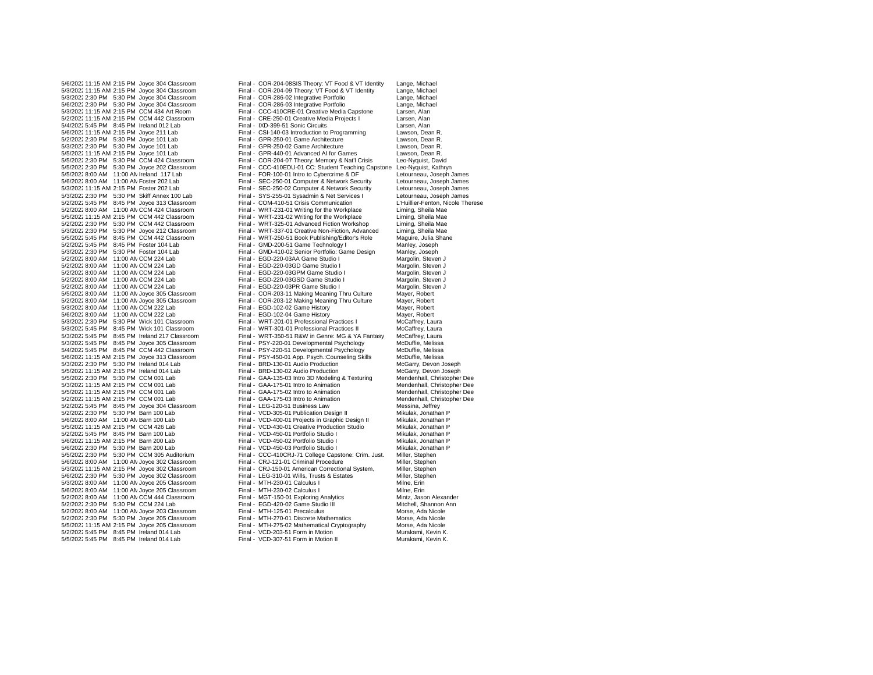5/2/2022 2:30 PM 5:30 PM Joyce 101 Lab Final - GPR-250-01 Game Architecture Came Architecture S/3/2022 2:30 PM 5:30 PM Joyce 101 Lab 5/5/2022 5:45 PM 8:45 PM CCM 442 Classroom Final - WRT-250-51 Book Publishing/Editor's Role Maguire, Julia Shane Technology I 5/2/2022 8:00 AM 11:00 AN CCM 224 Lab 5/3/2022 5:45 PM 8:45 PM Wick 101 Classroom 5/2/2022 2:30 PM 5:30 PM Joyce 205 Classroom

5/6/202211:15 AM 2:15 PM Joyce 304 Classroom Final - COR-204-08SIS Theory: VT Food & VT Identity Lange, Michael Final - COR-204-09 Theory: VT Food & VT Identity Lange, Michael<br>Final - COR-286-02 Integrative Portfolio Lange, Michael 5/3/20222:30 PM 5:30 PM Joyce 304 Classroom Final - COR-286-02 Integrative Portfolio Lange, Michael 5/6/2022 2:30 PM 5:30 PM Joyce 304 Classroom Final - COR-286-03 Integrative Portfolio Lange, Michael Lange, Michael Staten, Alan Final - CCC-410CRE-01 Creative Media Capstone 5/2/202211:15 AM 2:15 PM CCM 442 Classroom Final - CRE-250-01 Creative Media Projects I Larsen, Alan 5/4/2022 5:45 PM 8:45 PM Ireland 012 Lab Final - IXD-399-51 Sonic Circuits Communication to Programming Larsen, Alan<br>5/6/2022 11:15 AM 2:15 PM Jovce 211 Lab Final - CSI-140-03 Introduction to Programming Lawson. Dean R. Final - CSI-140-03 Introduction to Programming Lawson, Dean R.<br>1922 - Final - GPR-250-01 Game Architecture Lawson, Dean R. 5/3/2022 2:30 PM 5:30 PM Joyce 101 Lab Final - GPR-250-02 Game Architecture Lawson, Dean R.<br>5/5/2022 11:15 AM 2:15 PM Joyce 101 Lab Final - GPR-440-01 Advanced AI for Games Lawson, Dean R. Final - GPR-440-01 Advanced AI for Games Lawson, Dean R. 5/5/20222:30 PM 5:30 PM CCM 424 Classroom Final - COR-204-07 Theory: Memory & Nat'l Crisis Leo-Nyquist, David Final - CCC-410EDU-01 CC: Student Teaching Capstone Leo-Nyquist, Kathryn 5/5/20228:00 AM 11:00 AMIreland 117 Lab Final - FOR-100-01 Intro to Cybercrime & DF Letourneau, Joseph James 5/6/20228:00 AM 11:00 AMFoster 202 Lab Final - SEC-250-01 Computer & Network Security Letourneau, Joseph James Final - SEC-250-02 Computer & Network Security Letourneau, Joseph James<br>Final - SYS-255-01 Sysadmin & Net Services I Letourneau, Joseph James 5/3/20222:30 PM 5:30 PM Skiff Annex 100 Lab Final - SYS-255-01 Sysadmin & Net Services I Letourneau, Joseph James 5/2/2022 5:45 PM 8:45 PM Joyce 313 Classroom Final - COM-410-51 Crisis Communication L'Huillier-Fenton, Nicole<br>5/2/2022 8:00 AM 11:00 AN CCM 424 Classroom Final - WRT-231-01 Writing for the Workplace Liming, Sheila Mae 5/2/20228:00 AM 11:00 AMCCM 424 Classroom Final - WRT-231-01 Writing for the Workplace Liming, Sheila Mae 5/5/202211:15 AM 2:15 PM CCM 442 Classroom Final - WRT-231-02 Writing for the Workplace Liming, Sheila Mae Einal - WRT-325-01 Advanced Fiction Workshop 5/3/20222:30 PM 5:30 PM Joyce 212 Classroom Final - WRT-337-01 Creative Non-Fiction, Advanced Liming, Sheila Mae 5/2/20225:45 PM 8:45 PM Foster 104 Lab Final - GMD-200-51 Game Technology I Manley, Joseph Final - GMD-410-02 Senior Portfolio: Game Design Manley, Joseph<br>
Final - EGD-220-03AA Game Studio I Margolin, Steven J 5/2/20228:00 AM 11:00 AMCCM 224 Lab Final - EGD-220-03AA Game Studio I Margolin, Steven J 5/2/20228:00 AM 11:00 AMCCM 224 Lab Final - EGD-220-03GD Game Studio I Margolin, Steven J 5/2/20228:00 AM 11:00 AMCCM 224 Lab Final - EGD-220-03GPM Game Studio I Margolin, Steven J 5/2/2022 8:00 AM 11:00 AN CCM 224 Lab Final - EGD-220-03PR Game Studio I Margolin, Steven J<br>5/5/2022 8:00 AM 11:00 AN Jovce 305 Classroom Final - COR-203-11 Making Meaning Thru Culture Maver. Robert 5/5/20228:00 AM 11:00 AMJoyce 305 Classroom Final - COR-203-11 Making Meaning Thru Culture Mayer, Robert Final - COR-203-12 Making Meaning Thru Culture<br>Final - EGD-102-02 Game History 5/3/2022 8:00 AM 11:00 AN CCM 222 Lab Final - EGD-102-02 Game History Mayer, Robert Mayer, Robert<br>5/6/2022 8:00 AM 11:00 AN CCM 222 Lab Final - EGD-102-04 Game History Mayer, Robert 5/6/2022 8:00 AM 11:00 AN CCM 222 Lab Final - EGD-102-04 Game History Mayer, Robert Mayer, Robert<br>5/3/2022 2:30 PM 5:30 PM Wick 101 Classroom Final - WRT-201-01 Professional Practices I McCaffrey, Laura 5/3/20222:30 PM 5:30 PM Wick 101 Classroom Final - WRT-201-01 Professional Practices I McCaffrey, Laura 5/3/20225:45 PM 8:45 PM Ireland 217 Classroom Final - WRT-350-51 R&W in Genre: MG & YA Fantasy McCaffrey, Laura 5/3/20225:45 PM 8:45 PM Joyce 305 Classroom Final - PSY-220-01 Developmental Psychology McDuffie, Melissa 5/4/20225:45 PM 8:45 PM CCM 442 Classroom Final - PSY-220-51 Developmental Psychology McDuffie, Melissa Final - PSY-450-01 App. Psych.:Counseling Skills McDuffie, Melissa<br>Final - BRD-130-01 Audio Production McGarry, Devon Joseph 5/3/2022 2:30 PM 5:30 PM Ireland 014 Lab Final - BRD-130-01 Audio Production McGarry, Devon Joseph - 5/5/2022<br>11:15 AM 2:15 PM Ireland 014 Lab Final - BRD-130-02 Audio Production McGarry, Devon Joseph 5/5/2022 11:15 AM 2:15 PM Ireland 014 Lab Final - BRD-130-02 Audio Production McGarry, Devon Joseph 6-<br>5/5/2022 2:30 PM 5:30 PM CCM 001 Lab Final - GAA-135-03 Intro 3D Modeling & Texturing Mendenhall, Christopher Dee Final - GAA-135-03 Intro 3D Modeling & Texturing Mendenhall, Christopher Dee<br>Final - GAA-175-01 Intro to Animation Mendenhall, Christopher Dee 5/3/2022 11:15 AM 2:15 PM CCM 001 Lab Final - GAA-175-01 Intro to Animation Mendenhall, Christopher Dee<br>5/5/2022 11:15 AM 2:15 PM CCM 001 Lab Final - GAA-175-02 Intro to Animation Mendenhall, Christopher Dee 5/5/202211:15 AM 2:15 PM CCM 001 Lab Final - GAA-175-02 Intro to Animation Mendenhall, Christopher Dee Final - GAA-175-03 Intro to Animation<br>Final - LEG-120-51 Business Law 5/2/2022 5:45 PM 8:45 PM Joyce 304 Classroom Final - LEG-120-51 Business Law Messina, Jeffrey<br>5/2/2022 2:30 PM 5:30 PM Barn 100 Lab Final - VCD-305-01 Publication Design II Mikulak Jonathan F 5/2/20222:30 PM 5:30 PM Barn 100 Lab Final - VCD-305-01 Publication Design II Mikulak, Jonathan P 5/6/20228:00 AM 11:00 AMBarn 100 Lab Final - VCD-400-01 Projects in Graphic Design II Mikulak, Jonathan P Final - VCD-430-01 Creative Production Studio Mikulak, Jonathan P<br>Final - VCD-450-01 Portfolio Studio I Mikulak, Jonathan P 5/2/20225:45 PM 8:45 PM Barn 100 Lab Final - VCD-450-01 Portfolio Studio I Mikulak, Jonathan P 5/6/202211:15 AM 2:15 PM Barn 200 Lab Final - VCD-450-02 Portfolio Studio I Mikulak, Jonathan P 5/6/2022 2:30 PM 5:30 PM Barn 200 Lab Final - VCD-450-03 Portfolio Studio I Mikulak, Jonathan Mikulak, Jonath<br>5/5/2022 2:30 PM 5:30 PM CCM 305 Auditorium Final - CCC-410CR L71 College Canstone: Crim Just Miller Stephen Final - CCC-410CRJ-71 College Capstone: Crim. Just.<br>Final - CRJ-121-01 Criminal Procedure 5/6/2022 8:00 AM 11:00 AN Joyce 302 Classroom Final - CRJ-121-01 Criminal Procedure Miller, Stephen<br>5/3/2022 11:15 AM 2:15 PM Joyce 302 Classroom Final - CRJ-150-01 American Correctional System. Miller. Stephen Final - CRJ-150-01 American Correctional System, Miller, Stephen<br>Final - LEG-310-01 Wills, Trusts & Estates Miller, Stephen 5/6/20222:30 PM 5:30 PM Joyce 302 Classroom Final - LEG-310-01 Wills, Trusts & Estates Miller, Stephen 5/3/20228:00 AM 11:00 AMJoyce 205 Classroom Final - MTH-230-01 Calculus I Milne, Erin 5/6/2022 8:00 AM 11:00 AN Joyce 205 Classroom Final - MTH-230-02 Calculus I<br>5/2/2022 8:00 AM 11:00 AN CCM 444 Classroom Final - MGT-150-01 Exploring Analytics Mintz, Jason Alexander 5/2/2022 8:00 AM 11:00 AN CCM 444 Classroom Final - MGT-150-01 Exploring Analytics Mintz, Jason Alexander<br>5/2/2022 2:30 PM 5:30 PM CCM 224 Lab Final - EGD-420-02 Game Studio III Mitchell Shannon Ann 5/2/2022 2:30 PM 5:30 PM CCM 224 Lab Final - EGD-420-02 Game Studio III Mitchell, Shannon<br>5/2/2022 8:00 AM 11:00 AM Joves 203 Classroom Final - MTH-125-01 Precalculus Morse Ada Nicole 5/2/2022 8:00 AM 11:00 AM Joyce 203 Classroom Final - MTH-125-01 Precalculus Morse, Ada Nicole<br>5/2/2022 2:30 PM 5:30 PM Joyce 205 Classroom Final - MTH-270-01 Discrete Mathematics Morse, Ada Nicole 5/5/202211:15 AM 2:15 PM Joyce 205 Classroom Final - MTH-275-02 Mathematical Cryptography Morse, Ada Nicole 5/2/2022 5:45 PM 8:45 PM Ireland 014 Lab Final - VCD-203-51 Form in Motion Murakami, Kevin K.<br>5/5/2022 5:45 PM 8:45 PM Ireland 014 Lab Final - VCD-307-51 Form in Motion II Murakami, Kevin K. Final - VCD-307-51 Form in Motion II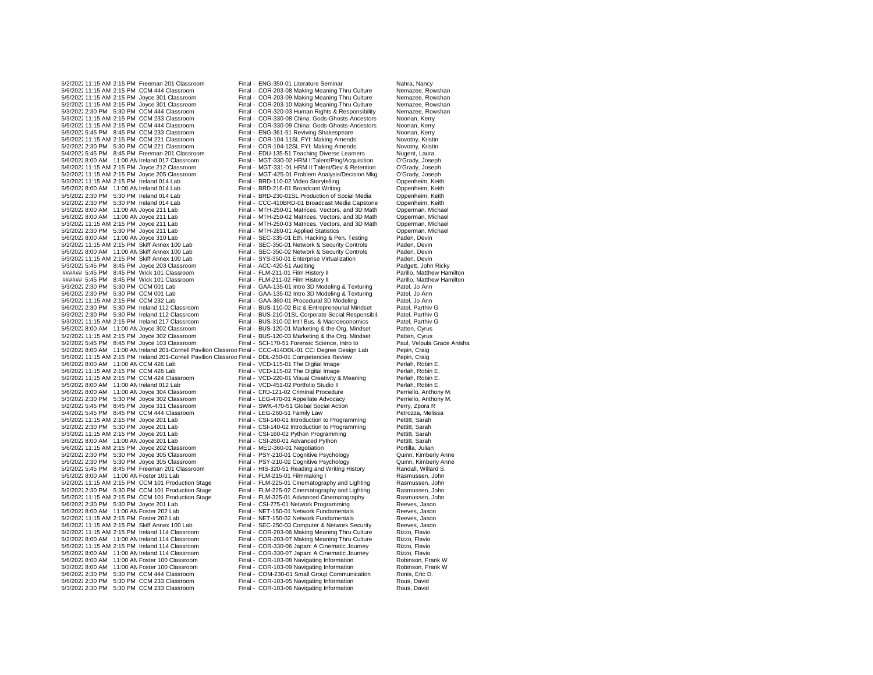5/2/2022 11:15 AM 2:15 PM Freeman 201 Classroom Final - ENG-350-01 Literature Seminar Nahra, Nancy<br>5/6/2022 11:15 AM 2:15 PM CCM 444 Classroom Final - COR-203-08 Making Meaning Thru Culture Nemazee. Rowshan 5/6/202211:15 AM 2:15 PM CCM 444 Classroom Final - COR-203-08 Making Meaning Thru Culture Nemazee, Rowshan 5/5/202211:15 AM 2:15 PM Joyce 301 Classroom Final - COR-203-09 Making Meaning Thru Culture Nemazee, Rowshan 5/2/202211:15 AM 2:15 PM Joyce 301 Classroom Final - COR-203-10 Making Meaning Thru Culture Nemazee, Rowshan 5/3/202211:15 AM 2:15 PM CCM 233 Classroom Final - COR-330-08 China: Gods-Ghosts-Ancestors Noonan, Kerry 5/5/2022 11:15 AM 2:15 PM CCM 444 Classroom Final - COR-330-09 China: Gods-Ghosts-Ancestors <a>
Final - ENG-361-51 Reviving Shakespeare<br/>
Final - ENG-361-51 Reviving Shakespeare<br/>
Final - ENG-361-51 Reviving Shakespe 5/5/2022 11:15 AM 2:15 PM CCM 221 Classroom Final - COR-104-11SL FYI: Making Amends Novotny, Novotny, America<br>5/2/2022 2:30 PM 5:30 PM CCM 221 Classroom Final - COR-104-12SL FYI: Making Amends 5/2/20222:30 PM 5:30 PM CCM 221 Classroom Final - COR-104-12SL FYI: Making Amends Novotny, Kristin 5/4/2022 5:45 PM 8:45 PM Freeman 201 Classroom 5/6/20228:00 AM 11:00 AMIreland 017 Classroom Final - MGT-330-02 HRM I:Talent/Plng/Acquisition O'Grady, Joseph 5/2/202211:15 AM 2:15 PM Joyce 205 Classroom Final - MGT-425-01 Problem Analysis/Decision Mkg. O'Grady, Joseph 5/3/2022 11:15 AM 2:15 PM Ireland 014 Lab Final - BRD-110-02 Video Storytelling Compenheim, Keith Compenheim, Keith<br>5/5/2022 8:00 AM 11:00 AM Ireland 014 Lab Final - BRD-216-01 Broadcast Writing Compenheim, Keith 5/5/2022 8:00 AM 11:00 AN Ireland 014 Lab Final - BRD-216-01 Broadcast Writing Compenheim, Keith Compenheim, Keith<br>1997 - Final - Broadcast Production of Social Media Oppenheim, Keith Compenheim, Keith Final - BRD-230-01SL 5/5/20222:30 PM 5:30 PM Ireland 014 Lab Final - BRD-230-01SL Production of Social Media Oppenheim, Keith 5/2/20222:30 PM 5:30 PM Ireland 014 Lab Final - CCC-410BRD-01 Broadcast Media Capstone Oppenheim, Keith 5/3/2022 8:00 AM 11:00 AN Joyce 211 Lab Final - MTH-250-01 Matrices, Vectors, and 3D Math Opperman, Michael<br>5/6/2022 8:00 AM 11:00 AN Joyce 211 Lab Final - MTH-250-02 Matrices Vectors, and 3D Math Opperman, Michael 5/3/2022 11:15 AM 2:15 PM Joyce 211 Lab 5/2/2022 2:30 PM 5:30 PM Joyce 211 Lab Final - MTH-280-01 Applied Statistics Copperman, Michael<br>5/6/2022 8:00 AM 11:00 AN Joyce 310 Lab Final - SEC-335-01 Eth. Hacking & Pen. Testing Paden. Devin 5/6/2022 8:00 AM 11:00 AN Joyce 310 Lab Final - SEC-335-01 Eth. Hacking & Pen. Testing Paden, Devin<br>5/2/2022 11:15 AM 2:15 PM Skiff Annex 100 Lab Final - SEC-350-01 Network & Security Controls Paden. Devin 5/2/2022 11:15 AM 2:15 PM Skiff Annex 100 Lab Final - SEC-350-01 Network & Security Controls Paden, Devin<br>5/5/2022 8:00 AM 11:00 AN Skiff Annex 100 Lab Final - SEC-350-02 Network & Security Controls Paden, Devin 5/3/202211:15 AM 2:15 PM Skiff Annex 100 Lab Final - SYS-350-01 Enterprise Virtualization Paden, Devin 5/3/2022 5:45 PM 8:45 PM Joyce 203 Classroom Final - ACC-420-51 Auditing Feature and Padgett, John Ricky<br>
Final - FLM-211-01 Film History II Parillo Matthew Hamilton ###### 5:45 PM 8:45 PM Wick 101 Classroom Final - FLM-211-01 Film History II Parillo, Matthew Hamilton ###### 5:45 PM 8:45 PM Wick 101 Classroom 5/3/20222:30 PM 5:30 PM CCM 001 Lab Final - GAA-135-01 Intro 3D Modeling & Texturing Patel, Jo Ann 5/6/20222:30 PM 5:30 PM CCM 001 Lab Final - GAA-135-02 Intro 3D Modeling & Texturing Patel, Jo Ann 5/6/20222:30 PM 5:30 PM Ireland 112 Classroom Final - BUS-110-02 Biz & Entrepreneurial Mindset Patel, Parthiv G 5/3/2022 11:15 AM 2:15 PM Ireland 217 Classroom Final - BUS-310-02 Int'l Bus. & Macroeconomics Patel, Parthiv<br>5/5/2022 8:00 AM 11:00 AN Joyce 302 Classroom Final - BUS-120-01 Marketing & the Org. Mindset Patten, Cyrus 5/5/2022 8:00 AM 11:00 AN Joyce 302 Classroom<br>5/2/2022 11:15 AM 2:15 PM Joyce 302 Classroom 5/2/20225:45 PM 8:45 PM Joyce 103 Classroom Final - SCI-170-51 Forensic Science, Intro to Paul, Velpula Grace Anisha 5/2/2022 8:00 AM 11:00 AM Ireland 201-Cornell Pavilion Classroo Final - CCC-414DDL-01 CC: Degree Design Lab Pepin, Craig<br>5/5/2022 11:15 AM 2:15 PM Ireland 201-Cornell Pavilion Classroo Final - DDL-250-01 Competencies Revie 5/5/2022 11:15 AM 2:15 PM Ireland 201-Cornell Pavilion Classroo Final - DDL-250-01 Competencies Review Pepin, Craig<br>Final - VCD-115-01 The Digital Image Perlah, Robin E. 5/6/20228:00 AM 11:00 AMCCM 426 Lab Final - VCD-115-01 The Digital Image Perlah, Robin E. 5/6/2022 11:15 AM 2:15 PM CCM 426 Lab Final - VCD-115-02 The Digital Image Perlah, Robin E.<br>5/2/2022 11:15 AM 2:15 PM CCM 424 Classroom Final - VCD-220-01 Visual Creativity & Meaning Perlah, Robin E. 5/2/2022 11:15 AM 2:15 PM CCM 424 Classroom Final - VCD-220-01 Visual Creativity & Meaning Perlah, Robin E.<br>Final - VCD-451-02 Perlah, Robin E. Perlah, Robin E. Perlah, Robin E. 5/5/2022 8:00 AM 11:00 AM reland 012 Lab Final - VCD-451-02 Portfolio Studio II Perlah, Robin E.<br>5/6/2022 8:00 AM 11:00 AM Jovce 304 Classroom Final - CRJ-121-02 Criminal Procedure Perriello. Anthony M. 5/6/2022 8:00 AM 11:00 AM Joyce 304 Classroom Final - CRJ-121-02 Criminal Procedure Perriello, Anthony M.<br>5/3/2022 9:00 AM 11:00 AM Joyce 304 Classroom Final - CRJ-121-02 Criminal Procedure Perriello, Anthony M.<br>5/3/2022 9 5/3/2022 2:30 PM 5:30 PM Joyce 302 Classroom 5/2/2022 5:45 PM 8:45 PM Joyce 311 Classroom Final - SWK-470-51 Global Social Action Perry, Zpora R<br>5/4/2022 5:45 PM 8:45 PM CCM 444 Classroom Final - I FG-260-51 Family J aw Petrozza Melissa 5/4/2022 5:45 PM 8:45 PM CCM 444 Classroom Final - LEG-260-51 Family Law Petrozza, Me<br>5/5/2022 11:15 AM 2:15 PM Joyce 201 Lab Final - CSI-140-01 Introduction to Programming Pettitt, Sarah 5/5/2022 11:15 AM 2:15 PM Joyce 201 Lab Final - CSI-140-01 Introduction to Programming Pettitt, Sarah - Final - CSI-140-02 Introduction to Programming Pettitt, Sarah 5/3/2022 11:15 AM 2:15 PM Joyce 201 Lab Final - CSI-160-02 Python Programming Pettitt, Sarah Pettitt, Sarah Forticle and Fettitt, Sarah Forticle and Forticle and Fettitt, Sarah Pettitt, Sarah Pettitt, Sarah Pettitt, Sarah 5/6/2022 8:00 AM 11:00 AN Joyce 201 Lab Final - CSI-260-01 Advanced Python Pettitt, Sarah Pettitt, Sarah Final - CSI-260-01 Advanced Python Pettitt, Sarah Pettitt, Sarah Society and Portilla, Julian 5/6/2022 11:15 AM 2:15 PM Joyce 202 Classroom Final - MED-360-01 Negotiation Fortilla, Julian Portilla, Julian<br>5/2/2022 2:30 PM 5:30 PM Joyce 305 Classroom Final - PSY-210-01 Cognitive Psychology Cuinn, Kimberly Anne 5/2/2022 2:30 PM 5:30 PM Joyce 305 Classroom 5/5/20222:30 PM 5:30 PM Joyce 305 Classroom Final - PSY-210-02 Cognitive Psychology Quinn, Kimberly Anne 5/5/2022 8:00 AM 11:00 AN Foster 101 Lab Final - FLM-215-01 Filmmaking I Rasmussen, John<br>5/2/2022 11:15 AM 2:15 PM CCM 101 Production Stage Final - FLM-225-01 Cinematography and Lighting Rasmussen, John 5/2/2022 11:15 AM 2:15 PM CCM 101 Production Stage Final - FLM-225-01 Cinematography and Lighting Rasmussen, John<br>5/2/2022 2:30 PM 5:30 PM CCM 101 Production Stage Final - FLM-225-02 Cinematography and Lighting Rasmussen, 5/2/20222:30 PM 5:30 PM CCM 101 Production Stage Final - FLM-225-02 Cinematography and Lighting Rasmussen, John 5/5/2022 11:15 AM 2:15 PM CCM 101 Production Stage Final - FLM-325-01 Advanced Cinematography Rasmussen, John Rasmussen, John Final - CSI-275-01 Network Programming Reeves. Jason 5/6/2022 2:30 PM 5:30 PM Joyce 201 Lab Final - CSI-275-01 Network Programming<br>5/5/2022 8:00 AM 11:00 AN Enster 202 Lab Final - NET-150-01 Network Fundamentals 5/5/2022 8:00 AM 11:00 AM Foster 202 Lab Final - NET-150-01 Network Fundamentals Reeves, Jason<br>5/2/2022 11:15 AM 2:15 PM Foster 202 Lab Final - NET-150-02 Network Fundamentals Reeves, Jason 5/6/2022 11:15 AM 2:15 PM Skiff Annex 100 Lab Final - SEC-250-03 Computer & Network Security Reeves, Jason<br>5/2/2022 11:15 AM 2:15 PM Ireland 114 Classroom Final - COR-203-06 Making Meaning Thru Culture Rizzo, Flavio 5/2/202211:15 AM 2:15 PM Ireland 114 Classroom Final - COR-203-06 Making Meaning Thru Culture Rizzo, Flavio 5/2/20228:00 AM 11:00 AMIreland 114 Classroom Final - COR-203-07 Making Meaning Thru Culture Rizzo, Flavio 5/5/202211:15 AM 2:15 PM Ireland 114 Classroom Final - COR-330-06 Japan: A Cinematic Journey Rizzo, Flavio 5/6/20228:00 AM 11:00 AMFoster 100 Classroom Final - COR-103-08 Navigating Information Robinson, Frank W 5/3/2022 8:00 AM 11:00 AM Foster 100 Classroom Final - COR-103-09 Navigating Information Robinson, Frank Wallach Bonisson, Frank Wallach Bonisson, Frank Wallach Bonisson, Frank Wallach Bonisson, Frank Wallach Bonisson, Fra 5/6/2022 2:30 PM 5:30 PM CCM 444 Classroom Final - COM-230-01 Small Group Communication<br>5/6/2022 2:30 PM 5:30 PM CCM 233 Classroom Final - COR-103-05 Navigating Information 5/6/20222:30 PM 5:30 PM CCM 233 Classroom Final - COR-103-05 Navigating Information Rous, David

Final - COR-320-03 Human Rights & Responsibility Final - ENG-361-51 Reviving Shakespeare **Noonan, Kerry**<br>5.45 PM 2022-51 Final - COM 234-511 Review Room Pinal - COR-104-11SL FYI: Making Amends Final - MGT-331-01 HRM II:Talent/Dev & Retention Final - MTH-250-02 Matrices, Vectors, and 3D Math Opperman, Michael<br>Final - MTH-250-02 Matrices, Vectors, and 3D Math Opperman, Michael Final - SEC-350-02 Network & Security Controls Paden, Devin<br>
Final - SYS-350-01 Enterprise Virtualization Paden, Devin Final - GAA-360-01 Procedural 3D Modeling<br>Final - BUS-110-02 Biz & Entrepreneurial Mindset Final - BUS-210-01SL Corporate Social Responsibil. Patel, Parthiv G<br>Final - BUS-310-02 Int'l Bus. & Macroeconomics Patel, Parthiv G Final - BUS-120-03 Marketing & the Org. Mindset Patten, Cyrus Final - CSI-140-02 Introduction to Programming Pettitt, Sarah<br>
Final - CSI-160-02 Python Programming Pettitt, Sarah Final - HIS-320-51 Reading and Writing History Final - HIS-320-51 Reading and Writing History Randall, Willard S. Final - NET-150-02 Network Fundamentals Reeves, Jason Final - COR-330-07 Japan: A Cinematic Journey Rizzo, Flavio<br>5.00 Final - COR-103-08 Navigating Information Robinson, Frank W Final - COR-103-06 Navigating Information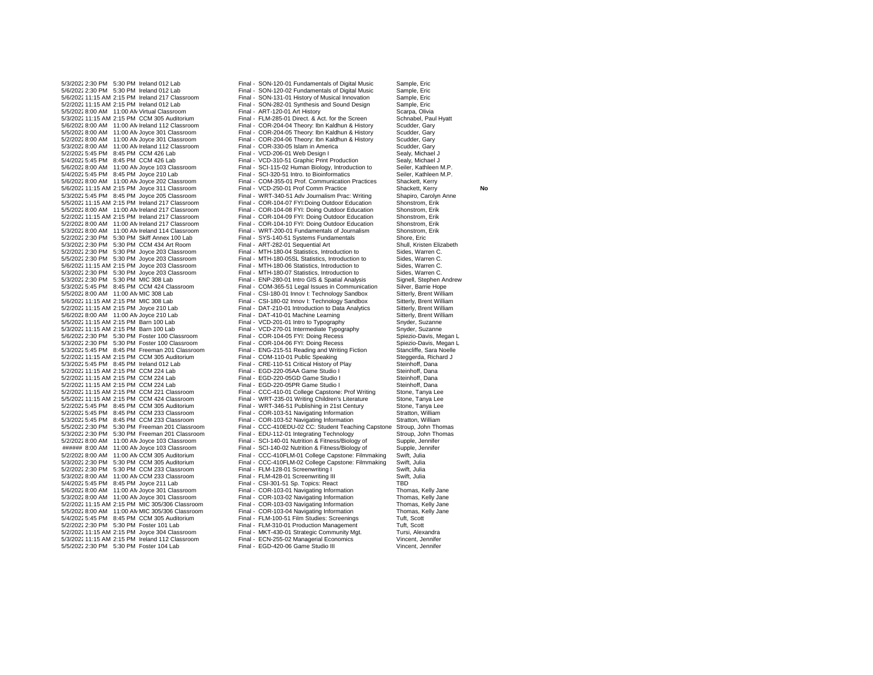5/5/2022 8:00 AM 11:00 AN Virtual Classroom 5/6/2022 8:00 AM 11:00 AM Ireland 112 Classroom Final - COR-204-04 Theory: Ibn Kaldhun & History S/5/2022 8:00 AM 11:00 AM Joyce 301 Classroom Final - COR-204-05 Theory: Ibn Kaldhun & History 5/2/2022 5:45 PM 8:45 PM CCM 426 Lab 5/5/2022 8:00 AM 11:00 AM Ireland 217 Classroom Final - COR-104-08 FYI: Doing Outdoor Education<br>5/2/2022 8:00 AM 11:00 AM Ireland 217 Classroom Final - COR-104-09 FYI: Doing Outdoor Education 5/2/2022 8:00 AM 11:00 AM Ireland 217 Classroom 5/6/2022 11:15 AM 2:15 PM Joyce 203 Classroom Final - MTH-180-06 Statistics, Introduction to Final - MTH-180-06 Statistics, Introduction to Final - MTH-180-07 Statistics, Introduction to 5/6/2022 2:30 PM 5:30 PM Foster 100 Classroom 5/2/2022 11:15 AM 2:15 PM CCM 224 Lab<br>5/2/2022 11:15 AM 2:15 PM CCM 221 Classroom 5/5/2022 2:30 PM 5:30 PM Foster 104 Lab

5/3/2022 2:30 PM 5:30 PM Ireland 012 Lab Final - SON-120-01 Fundamentals of Digital Music Sample, Eric<br>5/6/2022 2:30 PM 5:30 PM Ireland 012 Lab Final - SON-120-02 Fundamentals of Digital Music Sample. Eric 5/6/20222:30 PM 5:30 PM Ireland 012 Lab Final - SON-120-02 Fundamentals of Digital Music Sample, Eric 5/6/2022 11:15 AM 2:15 PM Ireland 217 Classroom Final - SON-131-01 History of Musical Innovation Sample, Eric<br>5/2/2022 11:15 AM 2:15 PM Ireland 012 I ab Final - SON-282-01 Synthesis and Sound Design Sample Fric Final - SON-282-01 Synthesis and Sound Design Sample, Eric<br>
Final - ART-120-01 Art History Scarpa, Olivia 5/3/2022 11:15 AM 2:15 PM CCM 305 Auditorium Final - FLM-285-01 Direct. & Act. for the Screen Schnabel, Paul Hyatt<br>5/6/2022 8:00 AM 11:00 AN Ireland 112 Classroom Final - COR-204-04 Theory: Ibn Kaldhun & History Scudder, G 5/5/2022 8:00 AM 11:00 AN Joyce 301 Classroom Final - COR-204-05 Theory: Ibn Kaldhun & History Scudder, Gary<br>5/2/2022 8:00 AM 11:00 AN Joyce 301 Classroom Final - COR-204-06 Theory: Ibn Kaldhun & History Scudder, Gary Final - COR-204-06 Theory: Ibn Kaldhun & History Scudder, Gary<br>5/2021 - Final - COR-330-05 Islam in America 5/3/2022 8:00 AM 11:00 AM Ireland 112 Classroom Final - COR-330-05 Islam in America Scudder, Gary<br>5/2/2022 5:45 PM 8:45 PM CCM 426 Lab Final - VCD-206-01 Web Design I 5/4/2022 5:45 PM 8:45 PM CCM 426 Lab Final - VCD-310-51 Graphic Print Production Sealy, Michael J<br>5/6/2022 8:00 AM 11:00 AM Joves 103 Classroom Final SCL115-02 Human Biology Introduction to Seiler Kathleen M P Final - SCI-115-02 Human Biology, Introduction to 5/4/2022 5:45 PM 8:45 PM Joyce 210 Lab Final - SCI-320-51 Intro. to Bioinformatics Seiler, Kathleen M.P.<br>5/6/2022 8:00 AM 11:00 AN Joyce 202 Classroom Final - COM-355-01 Prof. Communication Practices Shackett. Kerry 5/6/20228:00 AM 11:00 AMJoyce 202 Classroom Final - COM-355-01 Prof. Communication Practices Shackett, Kerry 5/6/2022 11:15 AM 2:15 PM Joyce 311 Classroom Final - VCD-250-01 Prof Comm Practice Shackett, Kerry **No No Richard Addam**<br>5/3/2022 5:45 PM 8:45 PM Joyce 205 Classroom Final - WRT-340-51 Adv Journalism Prac: Writing Shapiro 5/3/2022 5:45 PM 8:45 PM Joyce 205 Classroom Final - WRT-340-51 Adv Journalism Prac: Writing Shapiro, Carolyn Shapiro, Carolyn Friting Shapiro, Carolyn Briting Annel 2017 Classroom Final - COR-104-07 FYI: Doing Outdoor Edu 5/5/202211:15 AM 2:15 PM Ireland 217 Classroom Final - COR-104-07 FYI:Doing Outdoor Education Shonstrom, Erik Final - COR-104-09 FYI: Doing Outdoor Education Shonstrom, Erik<br>Final - COR-104-10 FYI: Doing Outdoor Education Shonstrom, Erik 5/3/20228:00 AM 11:00 AMIreland 114 Classroom Final - WRT-200-01 Fundamentals of Journalism Shonstrom, Erik 5/2/2022 2:30 PM 5:30 PM Skiff Annex 100 Lab Final - SYS-140-51 Systems Fundamentals Shore, Eric<br>5/3/2022 2:30 PM 5:30 PM CCM 434 Art Room Final - ART-282-01 Sequential Art Shull. Kristen Elizabeth 5/3/2022 2:30 PM 5:30 PM CCM 434 Art Room Final - ART-282-01 Sequential Art Shull, Kristen Eliz<br>5/2/2022 2:30 PM 5:30 PM Joyce 203 Classroom Final - MTH-180-04 Statistics, Introduction to Sides, Warren C. 5/2/20222:30 PM 5:30 PM Joyce 203 Classroom Final - MTH-180-04 Statistics, Introduction to Sides, Warren C. 5/5/20222:30 PM 5:30 PM Joyce 203 Classroom Final - MTH-180-05SL Statistics, Introduction to Sides, Warren C. 5/3/2022 2:30 PM 5:30 PM Joyce 203 Classroom Final - MTH-180-07 Statistics, Introduction to Sides, Warren C.<br>5/3/2022 2:30 PM 5:30 PM MIC 308 Lab Final Final FIND-280-01 Intro GIS & Spatial Analysis Signell Stephen Andrew Final - FNP-280-01 Intro GIS & Spatial Analysis 5/3/20225:45 PM 8:45 PM CCM 424 Classroom Final - COM-365-51 Legal Issues in Communication Silver, Barrie Hope 5/5/2022 8:00 AM 11:00 AN MIC 308 Lab Final - CSI-180-01 Innov I: Technology Sandbox Sitterly, Brent William<br>5/6/2022 11:15 AM 2:15 PM MIC 308 Lab Final - CSI-180-02 Innov I: Technology Sandbox Sitterly, Brent William 5/6/202211:15 AM 2:15 PM MIC 308 Lab Final - CSI-180-02 Innov I: Technology Sandbox Sitterly, Brent William Final - DAT-210-01 Introduction to Data Analytics Sitterly, Brent William Sitterly, Brent William Sitterly, Brent William 5/6/2022 8:00 AM 11:00 AN Joyce 210 Lab Final - DAT-410-01 Machine Learning Sitterly, Brent Will<br>5/5/2022 11:15 AM 2:15 PM Barn 100 Lab Final - VCD-201-01 Intro to Typography Snyder, Suzanne 5/5/2022 11:15 AM 2:15 PM Barn 100 Lab Final - VCD-201-01 Intro to Typography Snyder, Suzanne<br>5/3/2022 11:15 AM 2:15 PM Barn 100 Lab Final - VCD-270-01 Intermediate Typography Snyder, Suzanne Final - VCD-270-01 Intermediate Typography Snyder, Suzanne<br>
Final - COR-104-05 FYI: Doing Recess Spiezio-Davis. Megan L 5/3/2022 2:30 PM 5:30 PM Foster 100 Classroom Final - COR-104-06 FYI: Doing Recess Spiezio-Davis, Megan L<br>5/3/2022 5:45 PM 8:45 PM Freeman 201 Classroom Final - ENG-215-51 Reading and Writing Fiction Stancliffe. Sara Noell 5/3/20225:45 PM 8:45 PM Freeman 201 Classroom Final - ENG-215-51 Reading and Writing Fiction Stancliffe, Sara Noelle 5/2/2022 11:15 AM 2:15 PM CCM 305 Auditorium Final - COM-110-01 Public Speaking Tay Steggerda, Rich<br>5/3/2022 5:45 PM 8:45 PM Ireland 012 Lab Final - CRE-110-51 Critical History of Play Steinhoff, Dana 5/3/20225:45 PM 8:45 PM Ireland 012 Lab Final - CRE-110-51 Critical History of Play Steinhoff, Dana 5/2/202211:15 AM 2:15 PM CCM 224 Lab Final - EGD-220-05AA Game Studio I Steinhoff, Dana 5/2/202211:15 AM 2:15 PM CCM 224 Lab Final - EGD-220-05GD Game Studio I Steinhoff, Dana Final - CCC-410-01 College Capstone: Prof Writing Stone, Tanya Lee 5/5/202211:15 AM 2:15 PM CCM 424 Classroom Final - WRT-235-01 Writing Children's Literature Stone, Tanya Lee 5/2/2022 5:45 PM 8:45 PM CCM 305 Auditorium Final - WRT-346-51 Publishing in 21st Century Stone, Tanya Lee<br>5/2/2023 5:45 PM 8:45 PM CCM 233 Classroom Final - COR-103-51 Navigating Information Stratton William Final - COR-103-51 Navigating Information Final - COR-103-52 Navigating Information Stratton, William 5/3/2022 5:45 PM 8:45 PM CCM 233 Classroom Final - COR-103-52 Navigating Information Stratton, William<br>5/5/2022 2:30 PM 5:30 PM Freeman 201 Classroom Final - CCC-410EDU-02 CC: Student Teaching Capstone Stroup, John Thomas Final - CCC-410EDU-02 CC: Student Teaching Capstone Stroup, John Thomas<br>Final - EDU-112-01 Integrating Technology Stroup, John Thomas 5/3/2022 2:30 PM 5:30 PM Freeman 201 Classroom Final - EDU-112-01 Integrating Technology Stroup, John Thomas Stroup, John Thomas Final - SCI-140-01 Integrating Technology Stroup, John Thomas Supple, Jennifer 5/2/20228:00 AM 11:00 AMJoyce 103 Classroom Final - SCI-140-01 Nutrition & Fitness/Biology of Supple, Jennifer ###### 8:00 AM 11:00 AMJoyce 103 Classroom Final - SCI-140-02 Nutrition & Fitness/Biology of Supple, Jennifer Final - CCC-410FLM-01 College Capstone: Filmmaking 5/3/20222:30 PM 5:30 PM CCM 305 Auditorium Final - CCC-410FLM-02 College Capstone: Filmmaking Swift, Julia 5/2/20222:30 PM 5:30 PM CCM 233 Classroom Final - FLM-128-01 Screenwriting I Swift, Julia 5/3/2022 8:00 AM 11:00 AN CCM 233 Classroom Final - FLM-428-01 Screenwriting III Swift<br>5/4/2022 5:45 PM 8:45 PM Joyce 211 Lab Final - CSI-301-51 Sp. Topics: React TBD 5/4/2022 5:45 PM 8:45 PM Joyce 211 Lab Final - CSI-301-51 Sp. Topics: React Final - CSI-301-51 Sp. Topics: React TBD<br>5/6/2022 8:00 AM 11:00 AN Joyce 301 Classroom Final - COR-103-01 Navigating Information Thomas, Kelly Jan 5/6/20228:00 AM 11:00 AMJoyce 301 Classroom Final - COR-103-01 Navigating Information Thomas, Kelly Jane 5/3/2022 8:00 AM 11:00 AN Joyce 301 Classroom Final - COR-103-02 Navigating Information Thomas, Kelly Jane<br>5/2/2022 11:15 AM 2:15 PM MIC 305/306 Classroom Final - COR-103-03 Navigating Information Thomas Kelly Jane 5/2/202211:15 AM 2:15 PM MIC 305/306 Classroom Final - COR-103-03 Navigating Information Thomas, Kelly Jane Final - COR-103-04 Navigating Information<br>Final - FLM-100-51 Film Studies: Screenings 5/4/20225:45 PM 8:45 PM CCM 305 Auditorium Final - FLM-100-51 Film Studies: Screenings Tuft, Scott Final - FLM-310-01 Production Management Tuft, Scott<br>Final - MKT-430-01 Strategic Community Mgt. Tursi, Alexandra 5/2/2022 11:15 AM 2:15 PM Joyce 304 Classroom Final - MKT-430-01 Strategic Community Mgt. Tursi, Alexandra<br>5/3/2022 11:15 AM 2:15 PM Ireland 112 Classroom Final - ECN-255-02 Managerial Economics Vincent, Jennifer Final - ECN-255-02 Managerial Economics Vincent, Jennifer<br>
Final - EGD-420-06 Game Studio III Vincent, Jennifer